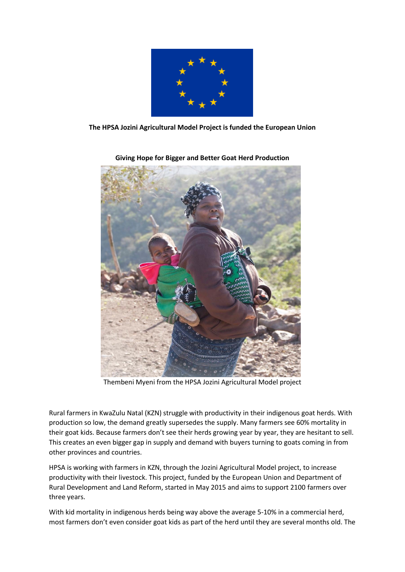

**The HPSA Jozini Agricultural Model Project is funded the European Union**



**Giving Hope for Bigger and Better Goat Herd Production**

Thembeni Myeni from the HPSA Jozini Agricultural Model project

Rural farmers in KwaZulu Natal (KZN) struggle with productivity in their indigenous goat herds. With production so low, the demand greatly supersedes the supply. Many farmers see 60% mortality in their goat kids. Because farmers don't see their herds growing year by year, they are hesitant to sell. This creates an even bigger gap in supply and demand with buyers turning to goats coming in from other provinces and countries.

HPSA is working with farmers in KZN, through the Jozini Agricultural Model project, to increase productivity with their livestock. This project, funded by the European Union and Department of Rural Development and Land Reform, started in May 2015 and aims to support 2100 farmers over three years.

With kid mortality in indigenous herds being way above the average 5-10% in a commercial herd, most farmers don't even consider goat kids as part of the herd until they are several months old. The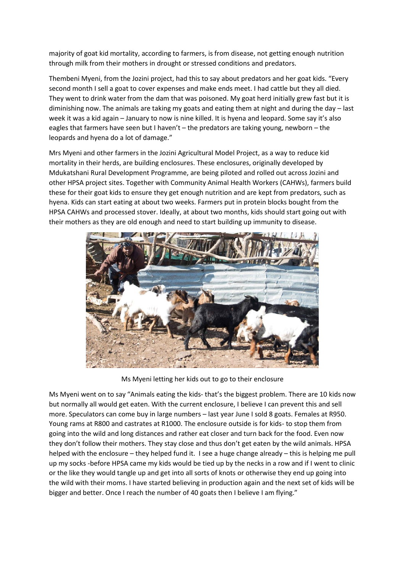majority of goat kid mortality, according to farmers, is from disease, not getting enough nutrition through milk from their mothers in drought or stressed conditions and predators.

Thembeni Myeni, from the Jozini project, had this to say about predators and her goat kids. "Every second month I sell a goat to cover expenses and make ends meet. I had cattle but they all died. They went to drink water from the dam that was poisoned. My goat herd initially grew fast but it is diminishing now. The animals are taking my goats and eating them at night and during the day – last week it was a kid again – January to now is nine killed. It is hyena and leopard. Some say it's also eagles that farmers have seen but I haven't – the predators are taking young, newborn – the leopards and hyena do a lot of damage."

Mrs Myeni and other farmers in the Jozini Agricultural Model Project, as a way to reduce kid mortality in their herds, are building enclosures. These enclosures, originally developed by Mdukatshani Rural Development Programme, are being piloted and rolled out across Jozini and other HPSA project sites. Together with Community Animal Health Workers (CAHWs), farmers build these for their goat kids to ensure they get enough nutrition and are kept from predators, such as hyena. Kids can start eating at about two weeks. Farmers put in protein blocks bought from the HPSA CAHWs and processed stover. Ideally, at about two months, kids should start going out with their mothers as they are old enough and need to start building up immunity to disease.



Ms Myeni letting her kids out to go to their enclosure

Ms Myeni went on to say "Animals eating the kids- that's the biggest problem. There are 10 kids now but normally all would get eaten. With the current enclosure, I believe I can prevent this and sell more. Speculators can come buy in large numbers – last year June I sold 8 goats. Females at R950. Young rams at R800 and castrates at R1000. The enclosure outside is for kids- to stop them from going into the wild and long distances and rather eat closer and turn back for the food. Even now they don't follow their mothers. They stay close and thus don't get eaten by the wild animals. HPSA helped with the enclosure – they helped fund it. I see a huge change already – this is helping me pull up my socks -before HPSA came my kids would be tied up by the necks in a row and if I went to clinic or the like they would tangle up and get into all sorts of knots or otherwise they end up going into the wild with their moms. I have started believing in production again and the next set of kids will be bigger and better. Once I reach the number of 40 goats then I believe I am flying."